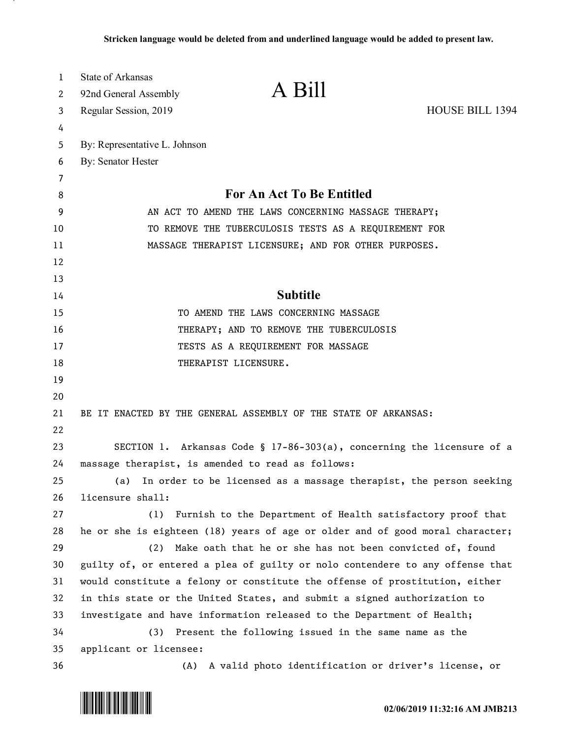| 1  | <b>State of Arkansas</b>                                                      |                                                                             |                 |  |
|----|-------------------------------------------------------------------------------|-----------------------------------------------------------------------------|-----------------|--|
| 2  | 92nd General Assembly                                                         | A Bill                                                                      |                 |  |
| 3  | Regular Session, 2019                                                         |                                                                             | HOUSE BILL 1394 |  |
| 4  |                                                                               |                                                                             |                 |  |
| 5  | By: Representative L. Johnson                                                 |                                                                             |                 |  |
| 6  | By: Senator Hester                                                            |                                                                             |                 |  |
| 7  |                                                                               |                                                                             |                 |  |
| 8  | For An Act To Be Entitled                                                     |                                                                             |                 |  |
| 9  | AN ACT TO AMEND THE LAWS CONCERNING MASSAGE THERAPY;                          |                                                                             |                 |  |
| 10 | TO REMOVE THE TUBERCULOSIS TESTS AS A REQUIREMENT FOR                         |                                                                             |                 |  |
| 11 | MASSAGE THERAPIST LICENSURE; AND FOR OTHER PURPOSES.                          |                                                                             |                 |  |
| 12 |                                                                               |                                                                             |                 |  |
| 13 |                                                                               |                                                                             |                 |  |
| 14 |                                                                               | <b>Subtitle</b>                                                             |                 |  |
| 15 | TO AMEND THE LAWS CONCERNING MASSAGE                                          |                                                                             |                 |  |
| 16 | THERAPY; AND TO REMOVE THE TUBERCULOSIS                                       |                                                                             |                 |  |
| 17 | TESTS AS A REQUIREMENT FOR MASSAGE                                            |                                                                             |                 |  |
| 18 | THERAPIST LICENSURE.                                                          |                                                                             |                 |  |
| 19 |                                                                               |                                                                             |                 |  |
| 20 |                                                                               |                                                                             |                 |  |
| 21 | BE IT ENACTED BY THE GENERAL ASSEMBLY OF THE STATE OF ARKANSAS:               |                                                                             |                 |  |
| 22 |                                                                               |                                                                             |                 |  |
| 23 | SECTION 1. Arkansas Code § 17-86-303(a), concerning the licensure of a        |                                                                             |                 |  |
| 24 | massage therapist, is amended to read as follows:                             |                                                                             |                 |  |
| 25 | (a)                                                                           | In order to be licensed as a massage therapist, the person seeking          |                 |  |
| 26 | licensure shall:                                                              |                                                                             |                 |  |
| 27 | (1)                                                                           | Furnish to the Department of Health satisfactory proof that                 |                 |  |
| 28 | he or she is eighteen (18) years of age or older and of good moral character; |                                                                             |                 |  |
| 29 | (2)                                                                           | Make oath that he or she has not been convicted of, found                   |                 |  |
| 30 | guilty of, or entered a plea of guilty or nolo contendere to any offense that |                                                                             |                 |  |
| 31 |                                                                               | would constitute a felony or constitute the offense of prostitution, either |                 |  |
| 32 | in this state or the United States, and submit a signed authorization to      |                                                                             |                 |  |
| 33 | investigate and have information released to the Department of Health;        |                                                                             |                 |  |
| 34 | (3) Present the following issued in the same name as the                      |                                                                             |                 |  |
| 35 | applicant or licensee:                                                        |                                                                             |                 |  |
| 36 | (A)                                                                           | A valid photo identification or driver's license, or                        |                 |  |